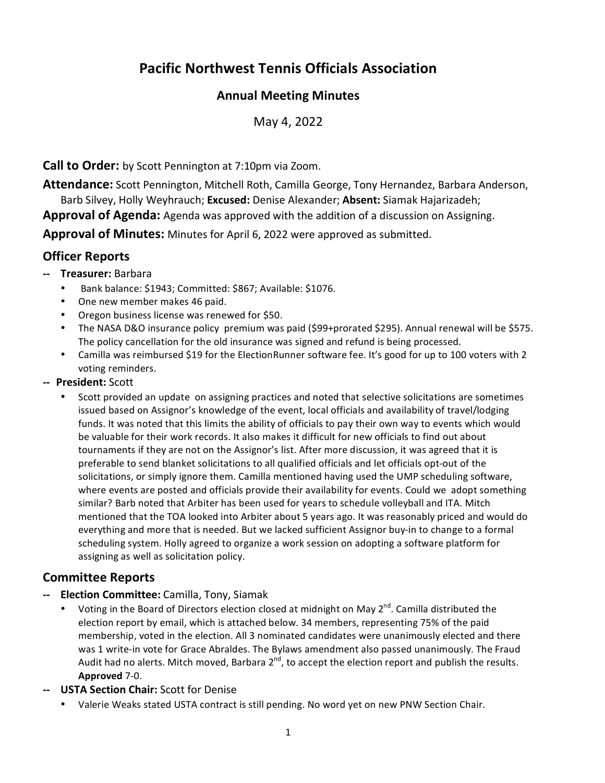# **Pacific Northwest Tennis Officials Association**

#### **Annual Meeting Minutes**

May 4, 2022

**Call to Order:** by Scott Pennington at 7:10pm via Zoom.

**Attendance:** Scott Pennington, Mitchell Roth, Camilla George, Tony Hernandez, Barbara Anderson, Barb Silvey, Holly Weyhrauch; **Excused:** Denise Alexander; **Absent:** Siamak Hajarizadeh; **Approval of Agenda:** Agenda was approved with the addition of a discussion on Assigning.

**Approval of Minutes:** Minutes for April 6, 2022 were approved as submitted.

# **Officer Reports**

- **‐‐ Treasurer:** Barbara
	- Bank balance: \$1943; Committed: \$867; Available: \$1076.
	- One new member makes 46 paid.
	- Oregon business license was renewed for \$50.
	- The NASA D&O insurance policy premium was paid (\$99+prorated \$295). Annual renewal will be \$575. The policy cancellation for the old insurance was signed and refund is being processed.
	- Camilla was reimbursed \$19 for the ElectionRunner software fee. It's good for up to 100 voters with 2 voting reminders.
- **‐‐ President:** Scott
	- Scott provided an update on assigning practices and noted that selective solicitations are sometimes issued based on Assignor's knowledge of the event, local officials and availability of travel/lodging funds. It was noted that this limits the ability of officials to pay their own way to events which would be valuable for their work records. It also makes it difficult for new officials to find out about tournaments if they are not on the Assignor's list. After more discussion, it was agreed that it is preferable to send blanket solicitations to all qualified officials and let officials opt‐out of the solicitations, or simply ignore them. Camilla mentioned having used the UMP scheduling software, where events are posted and officials provide their availability for events. Could we adopt something similar? Barb noted that Arbiter has been used for years to schedule volleyball and ITA. Mitch mentioned that the TOA looked into Arbiter about 5 years ago. It was reasonably priced and would do everything and more that is needed. But we lacked sufficient Assignor buy‐in to change to a formal scheduling system. Holly agreed to organize a work session on adopting a software platform for assigning as well as solicitation policy.

#### **Committee Reports**

- **‐‐ Election Committee:** Camilla, Tony, Siamak
	- Voting in the Board of Directors election closed at midnight on May  $2^{nd}$ . Camilla distributed the election report by email, which is attached below. 34 members, representing 75% of the paid membership, voted in the election. All 3 nominated candidates were unanimously elected and there was 1 write-in vote for Grace Abraldes. The Bylaws amendment also passed unanimously. The Fraud Audit had no alerts. Mitch moved, Barbara  $2^{nd}$ , to accept the election report and publish the results. **Approved** 7‐0.
- **‐‐ USTA Section Chair:** Scott for Denise
	- Valerie Weaks stated USTA contract is still pending. No word yet on new PNW Section Chair.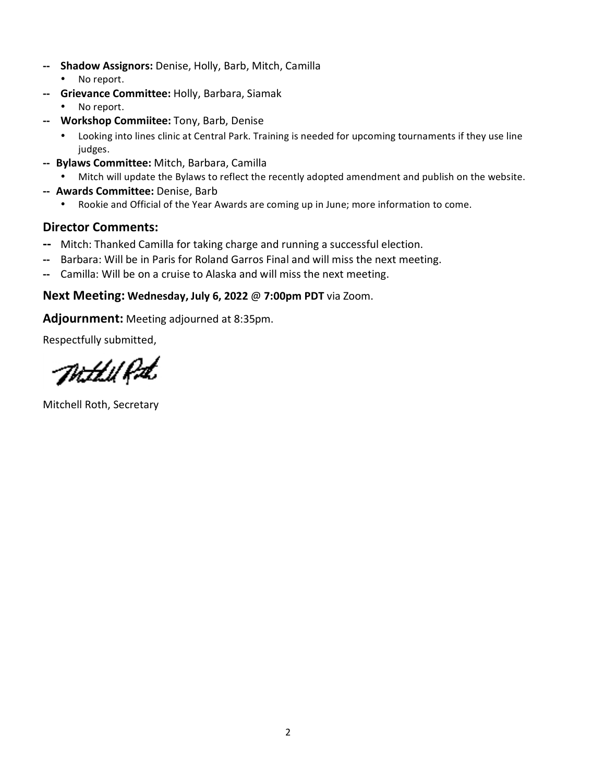- **‐‐ Shadow Assignors:** Denise, Holly, Barb, Mitch, Camilla
	- No report.
- **‐‐ Grievance Committee:** Holly, Barbara, Siamak
	- No report.
- **‐‐ Workshop Commiitee:** Tony, Barb, Denise
	- Looking into lines clinic at Central Park. Training is needed for upcoming tournaments if they use line judges.
- **‐‐ Bylaws Committee:** Mitch, Barbara, Camilla
	- Mitch will update the Bylaws to reflect the recently adopted amendment and publish on the website.
- **‐‐ Awards Committee:** Denise, Barb
	- Rookie and Official of the Year Awards are coming up in June; more information to come.

# **Director Comments:**

- **‐‐** Mitch: Thanked Camilla for taking charge and running a successful election.
- **‐‐** Barbara: Will be in Paris for Roland Garros Final and will miss the next meeting.
- **‐‐** Camilla: Will be on a cruise to Alaska and will miss the next meeting.

# **Next Meeting: Wednesday, July 6, 2022** @ **7:00pm PDT** via Zoom.

**Adjournment:** Meeting adjourned at 8:35pm.

Respectfully submitted,

Th.th.U.P.st.

Mitchell Roth, Secretary